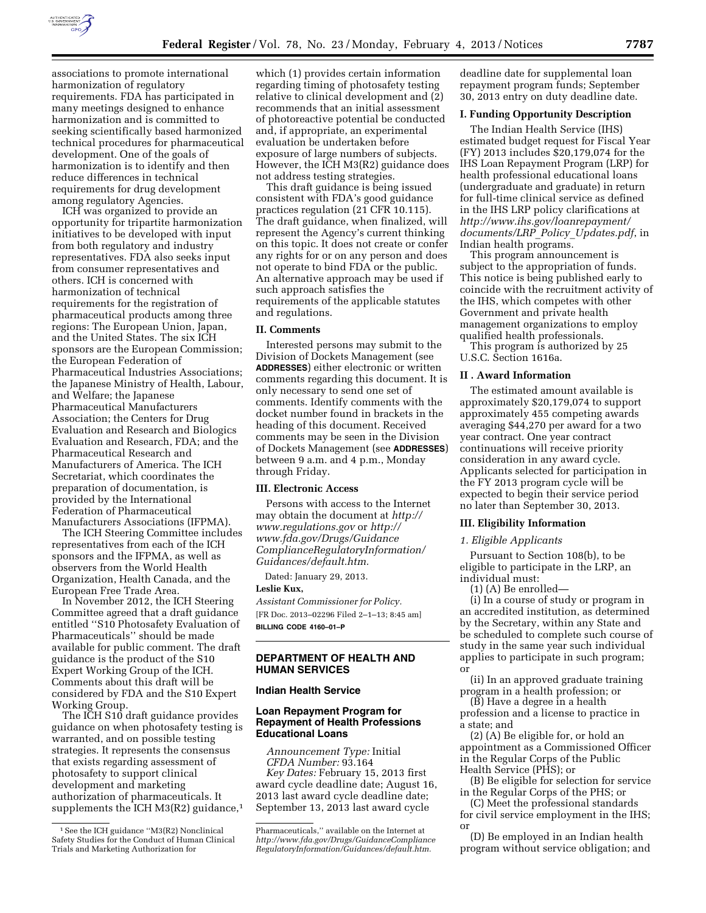

associations to promote international harmonization of regulatory requirements. FDA has participated in many meetings designed to enhance harmonization and is committed to seeking scientifically based harmonized technical procedures for pharmaceutical development. One of the goals of harmonization is to identify and then reduce differences in technical requirements for drug development among regulatory Agencies.

ICH was organized to provide an opportunity for tripartite harmonization initiatives to be developed with input from both regulatory and industry representatives. FDA also seeks input from consumer representatives and others. ICH is concerned with harmonization of technical requirements for the registration of pharmaceutical products among three regions: The European Union, Japan, and the United States. The six ICH sponsors are the European Commission; the European Federation of Pharmaceutical Industries Associations; the Japanese Ministry of Health, Labour, and Welfare; the Japanese Pharmaceutical Manufacturers Association; the Centers for Drug Evaluation and Research and Biologics Evaluation and Research, FDA; and the Pharmaceutical Research and Manufacturers of America. The ICH Secretariat, which coordinates the preparation of documentation, is provided by the International Federation of Pharmaceutical Manufacturers Associations (IFPMA).

The ICH Steering Committee includes representatives from each of the ICH sponsors and the IFPMA, as well as observers from the World Health Organization, Health Canada, and the European Free Trade Area.

In November 2012, the ICH Steering Committee agreed that a draft guidance entitled ''S10 Photosafety Evaluation of Pharmaceuticals'' should be made available for public comment. The draft guidance is the product of the S10 Expert Working Group of the ICH. Comments about this draft will be considered by FDA and the S10 Expert Working Group.

The ICH S10 draft guidance provides guidance on when photosafety testing is warranted, and on possible testing strategies. It represents the consensus that exists regarding assessment of photosafety to support clinical development and marketing authorization of pharmaceuticals. It supplements the ICH M3(R2) guidance,<sup>1</sup>

which (1) provides certain information regarding timing of photosafety testing relative to clinical development and (2) recommends that an initial assessment of photoreactive potential be conducted and, if appropriate, an experimental evaluation be undertaken before exposure of large numbers of subjects. However, the ICH M3(R2) guidance does not address testing strategies.

This draft guidance is being issued consistent with FDA's good guidance practices regulation (21 CFR 10.115). The draft guidance, when finalized, will represent the Agency's current thinking on this topic. It does not create or confer any rights for or on any person and does not operate to bind FDA or the public. An alternative approach may be used if such approach satisfies the requirements of the applicable statutes and regulations.

### **II. Comments**

Interested persons may submit to the Division of Dockets Management (see **ADDRESSES**) either electronic or written comments regarding this document. It is only necessary to send one set of comments. Identify comments with the docket number found in brackets in the heading of this document. Received comments may be seen in the Division of Dockets Management (see **ADDRESSES**) between 9 a.m. and 4 p.m., Monday through Friday.

#### **III. Electronic Access**

Persons with access to the Internet may obtain the document at *[http://](http://www.regulations.gov) [www.regulations.gov](http://www.regulations.gov)* or *[http://](http://www.fda.gov/Drugs/GuidanceComplianceRegulatoryInformation/Guidances/default.htm)  [www.fda.gov/Drugs/Guidance](http://www.fda.gov/Drugs/GuidanceComplianceRegulatoryInformation/Guidances/default.htm) [ComplianceRegulatoryInformation/](http://www.fda.gov/Drugs/GuidanceComplianceRegulatoryInformation/Guidances/default.htm) [Guidances/default.htm.](http://www.fda.gov/Drugs/GuidanceComplianceRegulatoryInformation/Guidances/default.htm)* 

Dated: January 29, 2013.

#### **Leslie Kux,**

*Assistant Commissioner for Policy.*  [FR Doc. 2013–02296 Filed 2–1–13; 8:45 am] **BILLING CODE 4160–01–P** 

## **DEPARTMENT OF HEALTH AND HUMAN SERVICES**

# **Indian Health Service**

## **Loan Repayment Program for Repayment of Health Professions Educational Loans**

*Announcement Type:* Initial *CFDA Number:* 93.164 *Key Dates:* February 15, 2013 first award cycle deadline date; August 16, 2013 last award cycle deadline date; September 13, 2013 last award cycle

deadline date for supplemental loan repayment program funds; September 30, 2013 entry on duty deadline date.

### **I. Funding Opportunity Description**

The Indian Health Service (IHS) estimated budget request for Fiscal Year (FY) 2013 includes \$20,179,074 for the IHS Loan Repayment Program (LRP) for health professional educational loans (undergraduate and graduate) in return for full-time clinical service as defined in the IHS LRP policy clarifications at *[http://www.ihs.gov/loanrepayment/](http://www.ihs.gov/loanrepayment/documents/LRP_Policy_Updates.pdf) [documents/LRP](http://www.ihs.gov/loanrepayment/documents/LRP_Policy_Updates.pdf)*\_*Policy*\_*Updates.pdf*, in Indian health programs.

This program announcement is subject to the appropriation of funds. This notice is being published early to coincide with the recruitment activity of the IHS, which competes with other Government and private health management organizations to employ qualified health professionals.

This program is authorized by 25 U.S.C. Section 1616a.

# **II . Award Information**

The estimated amount available is approximately \$20,179,074 to support approximately 455 competing awards averaging \$44,270 per award for a two year contract. One year contract continuations will receive priority consideration in any award cycle. Applicants selected for participation in the FY 2013 program cycle will be expected to begin their service period no later than September 30, 2013.

### **III. Eligibility Information**

#### *1. Eligible Applicants*

Pursuant to Section 108(b), to be eligible to participate in the LRP, an individual must:

(1) (A) Be enrolled—

(i) In a course of study or program in an accredited institution, as determined by the Secretary, within any State and be scheduled to complete such course of study in the same year such individual applies to participate in such program; or

(ii) In an approved graduate training program in a health profession; or

(B) Have a degree in a health profession and a license to practice in a state; and

(2) (A) Be eligible for, or hold an appointment as a Commissioned Officer in the Regular Corps of the Public Health Service (PHS); or

(B) Be eligible for selection for service in the Regular Corps of the PHS; or

(C) Meet the professional standards for civil service employment in the IHS; O<sub>1</sub>

(D) Be employed in an Indian health program without service obligation; and

<sup>1</sup>See the ICH guidance ''M3(R2) Nonclinical Safety Studies for the Conduct of Human Clinical Trials and Marketing Authorization for

Pharmaceuticals,'' available on the Internet at *[http://www.fda.gov/Drugs/GuidanceCompliance](http://www.fda.gov/Drugs/GuidanceComplianceRegulatoryInformation/Guidances/default.htm) [RegulatoryInformation/Guidances/default.htm.](http://www.fda.gov/Drugs/GuidanceComplianceRegulatoryInformation/Guidances/default.htm)*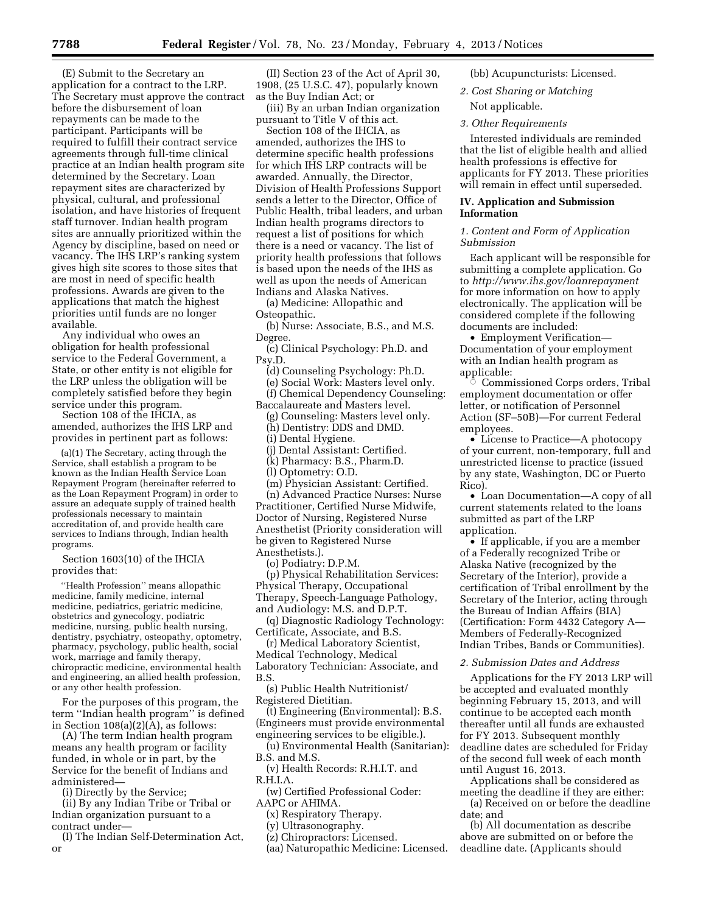(E) Submit to the Secretary an application for a contract to the LRP. The Secretary must approve the contract before the disbursement of loan repayments can be made to the participant. Participants will be required to fulfill their contract service agreements through full-time clinical practice at an Indian health program site determined by the Secretary. Loan repayment sites are characterized by physical, cultural, and professional isolation, and have histories of frequent staff turnover. Indian health program sites are annually prioritized within the Agency by discipline, based on need or vacancy. The IHS LRP's ranking system gives high site scores to those sites that are most in need of specific health professions. Awards are given to the applications that match the highest priorities until funds are no longer available.

Any individual who owes an obligation for health professional service to the Federal Government, a State, or other entity is not eligible for the LRP unless the obligation will be completely satisfied before they begin service under this program.

Section 108 of the IHCIA, as amended, authorizes the IHS LRP and provides in pertinent part as follows:

(a)(1) The Secretary, acting through the Service, shall establish a program to be known as the Indian Health Service Loan Repayment Program (hereinafter referred to as the Loan Repayment Program) in order to assure an adequate supply of trained health professionals necessary to maintain accreditation of, and provide health care services to Indians through, Indian health programs.

Section 1603(10) of the IHCIA provides that:

''Health Profession'' means allopathic medicine, family medicine, internal medicine, pediatrics, geriatric medicine, obstetrics and gynecology, podiatric medicine, nursing, public health nursing, dentistry, psychiatry, osteopathy, optometry, pharmacy, psychology, public health, social work, marriage and family therapy, chiropractic medicine, environmental health and engineering, an allied health profession, or any other health profession.

For the purposes of this program, the term ''Indian health program'' is defined in Section  $108(a)(2)(A)$ , as follows:

(A) The term Indian health program means any health program or facility funded, in whole or in part, by the Service for the benefit of Indians and administered—

(i) Directly by the Service;

(ii) By any Indian Tribe or Tribal or Indian organization pursuant to a contract under—

(I) The Indian Self-Determination Act, or

(II) Section 23 of the Act of April 30, 1908, (25 U.S.C. 47), popularly known as the Buy Indian Act; or

(iii) By an urban Indian organization pursuant to Title V of this act.

Section 108 of the IHCIA, as amended, authorizes the IHS to determine specific health professions for which IHS LRP contracts will be awarded. Annually, the Director, Division of Health Professions Support sends a letter to the Director, Office of Public Health, tribal leaders, and urban Indian health programs directors to request a list of positions for which there is a need or vacancy. The list of priority health professions that follows is based upon the needs of the IHS as well as upon the needs of American Indians and Alaska Natives.

(a) Medicine: Allopathic and Osteopathic.

(b) Nurse: Associate, B.S., and M.S. Degree.

(c) Clinical Psychology: Ph.D. and Psy.D.

(d) Counseling Psychology: Ph.D. (e) Social Work: Masters level only.

(f) Chemical Dependency Counseling: Baccalaureate and Masters level.

(g) Counseling: Masters level only.

(h) Dentistry: DDS and DMD.

(i) Dental Hygiene.

(j) Dental Assistant: Certified.

(k) Pharmacy: B.S., Pharm.D.

(l) Optometry: O.D.

(m) Physician Assistant: Certified.

(n) Advanced Practice Nurses: Nurse Practitioner, Certified Nurse Midwife, Doctor of Nursing, Registered Nurse Anesthetist (Priority consideration will be given to Registered Nurse Anesthetists.).

(o) Podiatry: D.P.M.

(p) Physical Rehabilitation Services: Physical Therapy, Occupational Therapy, Speech-Language Pathology, and Audiology: M.S. and D.P.T.

(q) Diagnostic Radiology Technology: Certificate, Associate, and B.S.

(r) Medical Laboratory Scientist, Medical Technology, Medical Laboratory Technician: Associate, and B.S.

(s) Public Health Nutritionist/ Registered Dietitian.

(t) Engineering (Environmental): B.S. (Engineers must provide environmental engineering services to be eligible.).

(u) Environmental Health (Sanitarian): B.S. and M.S.

(v) Health Records: R.H.I.T. and R.H.I.A.

(w) Certified Professional Coder: AAPC or AHIMA.

(x) Respiratory Therapy.

(y) Ultrasonography.

(z) Chiropractors: Licensed.

(aa) Naturopathic Medicine: Licensed.

(bb) Acupuncturists: Licensed.

*2. Cost Sharing or Matching* 

Not applicable.

*3. Other Requirements* 

Interested individuals are reminded that the list of eligible health and allied health professions is effective for applicants for FY 2013. These priorities will remain in effect until superseded.

## **IV. Application and Submission Information**

# *1. Content and Form of Application Submission*

Each applicant will be responsible for submitting a complete application. Go to *<http://www.ihs.gov/loanrepayment>* for more information on how to apply electronically. The application will be considered complete if the following documents are included:

• Employment Verification— Documentation of your employment with an Indian health program as applicable:<br>Commi ©

 Commissioned Corps orders, Tribal employment documentation or offer letter, or notification of Personnel Action (SF–50B)—For current Federal employees.

• License to Practice—A photocopy of your current, non-temporary, full and unrestricted license to practice (issued by any state, Washington, DC or Puerto Rico).

• Loan Documentation—A copy of all current statements related to the loans submitted as part of the LRP application.

• If applicable, if you are a member of a Federally recognized Tribe or Alaska Native (recognized by the Secretary of the Interior), provide a certification of Tribal enrollment by the Secretary of the Interior, acting through the Bureau of Indian Affairs (BIA) (Certification: Form 4432 Category A— Members of Federally-Recognized Indian Tribes, Bands or Communities).

#### *2. Submission Dates and Address*

Applications for the FY 2013 LRP will be accepted and evaluated monthly beginning February 15, 2013, and will continue to be accepted each month thereafter until all funds are exhausted for FY 2013. Subsequent monthly deadline dates are scheduled for Friday of the second full week of each month until August 16, 2013.

Applications shall be considered as meeting the deadline if they are either:

(a) Received on or before the deadline date; and

(b) All documentation as describe above are submitted on or before the deadline date. (Applicants should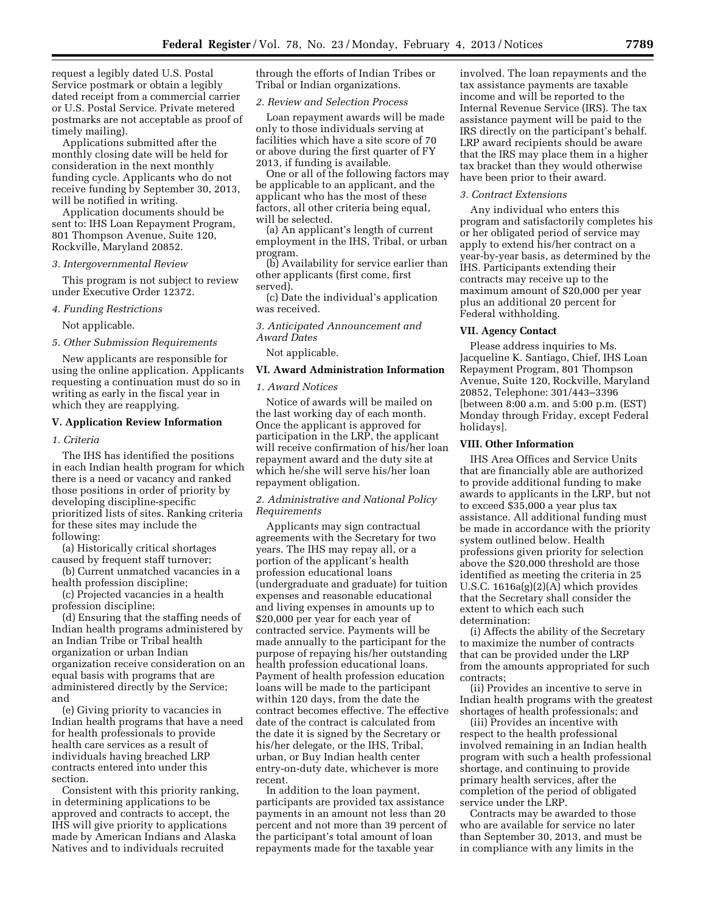request a legibly dated U.S. Postal Service postmark or obtain a legibly dated receipt from a commercial carrier or U.S. Postal Service. Private metered postmarks are not acceptable as proof of timely mailing).

Applications submitted after the monthly closing date will be held for consideration in the next monthly funding cycle. Applicants who do not receive funding by September 30, 2013, will be notified in writing.

Application documents should be sent to: IHS Loan Repayment Program, 801 Thompson Avenue, Suite 120, Rockville, Maryland 20852.

### *3. Intergovernmental Review*

This program is not subject to review under Executive Order 12372.

### *4. Funding Restrictions*

Not applicable.

## *5. Other Submission Requirements*

New applicants are responsible for using the online application. Applicants requesting a continuation must do so in writing as early in the fiscal year in which they are reapplying.

## **V. Application Review Information**

### *1. Criteria*

The IHS has identified the positions in each Indian health program for which there is a need or vacancy and ranked those positions in order of priority by developing discipline-specific prioritized lists of sites. Ranking criteria for these sites may include the following:

(a) Historically critical shortages caused by frequent staff turnover;

(b) Current unmatched vacancies in a health profession discipline;

(c) Projected vacancies in a health profession discipline;

(d) Ensuring that the staffing needs of Indian health programs administered by an Indian Tribe or Tribal health organization or urban Indian organization receive consideration on an equal basis with programs that are administered directly by the Service; and

(e) Giving priority to vacancies in Indian health programs that have a need for health professionals to provide health care services as a result of individuals having breached LRP contracts entered into under this section.

Consistent with this priority ranking, in determining applications to be approved and contracts to accept, the IHS will give priority to applications made by American Indians and Alaska Natives and to individuals recruited

through the efforts of Indian Tribes or Tribal or Indian organizations.

## *2. Review and Selection Process*

Loan repayment awards will be made only to those individuals serving at facilities which have a site score of 70 or above during the first quarter of FY 2013, if funding is available.

One or all of the following factors may be applicable to an applicant, and the applicant who has the most of these factors, all other criteria being equal, will be selected.

(a) An applicant's length of current employment in the IHS, Tribal, or urban program.

(b) Availability for service earlier than other applicants (first come, first served).

(c) Date the individual's application was received.

*3. Anticipated Announcement and Award Dates* 

Not applicable.

#### **VI. Award Administration Information**

### *1. Award Notices*

Notice of awards will be mailed on the last working day of each month. Once the applicant is approved for participation in the LRP, the applicant will receive confirmation of his/her loan repayment award and the duty site at which he/she will serve his/her loan repayment obligation.

## *2. Administrative and National Policy Requirements*

Applicants may sign contractual agreements with the Secretary for two years. The IHS may repay all, or a portion of the applicant's health profession educational loans (undergraduate and graduate) for tuition expenses and reasonable educational and living expenses in amounts up to \$20,000 per year for each year of contracted service. Payments will be made annually to the participant for the purpose of repaying his/her outstanding health profession educational loans. Payment of health profession education loans will be made to the participant within 120 days, from the date the contract becomes effective. The effective date of the contract is calculated from the date it is signed by the Secretary or his/her delegate, or the IHS, Tribal, urban, or Buy Indian health center entry-on-duty date, whichever is more recent.

In addition to the loan payment, participants are provided tax assistance payments in an amount not less than 20 percent and not more than 39 percent of the participant's total amount of loan repayments made for the taxable year

involved. The loan repayments and the tax assistance payments are taxable income and will be reported to the Internal Revenue Service (IRS). The tax assistance payment will be paid to the IRS directly on the participant's behalf. LRP award recipients should be aware that the IRS may place them in a higher tax bracket than they would otherwise have been prior to their award.

### *3. Contract Extensions*

Any individual who enters this program and satisfactorily completes his or her obligated period of service may apply to extend his/her contract on a year-by-year basis, as determined by the IHS. Participants extending their contracts may receive up to the maximum amount of \$20,000 per year plus an additional 20 percent for Federal withholding.

### **VII. Agency Contact**

Please address inquiries to Ms. Jacqueline K. Santiago, Chief, IHS Loan Repayment Program, 801 Thompson Avenue, Suite 120, Rockville, Maryland 20852, Telephone: 301/443–3396 [between 8:00 a.m. and 5:00 p.m. (EST) Monday through Friday, except Federal holidays].

### **VIII. Other Information**

IHS Area Offices and Service Units that are financially able are authorized to provide additional funding to make awards to applicants in the LRP, but not to exceed \$35,000 a year plus tax assistance. All additional funding must be made in accordance with the priority system outlined below. Health professions given priority for selection above the \$20,000 threshold are those identified as meeting the criteria in 25 U.S.C. 1616a(g)(2)(A) which provides that the Secretary shall consider the extent to which each such determination:

(i) Affects the ability of the Secretary to maximize the number of contracts that can be provided under the LRP from the amounts appropriated for such contracts;

(ii) Provides an incentive to serve in Indian health programs with the greatest shortages of health professionals; and

(iii) Provides an incentive with respect to the health professional involved remaining in an Indian health program with such a health professional shortage, and continuing to provide primary health services, after the completion of the period of obligated service under the LRP.

Contracts may be awarded to those who are available for service no later than September 30, 2013, and must be in compliance with any limits in the